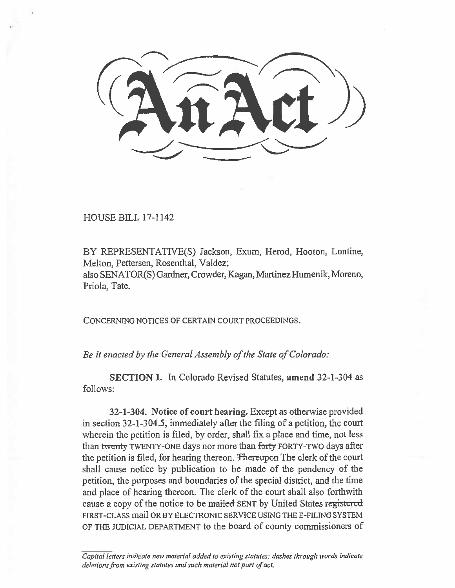HOUSE BILL 17-1142

BY REPRESENTATIVE(S) Jackson, Exum, Herod, Hooton, Lontine, Melton, Pettersen, Rosenthal, Valdez;

also SENATOR(S) Gardner, Crowder, Kagan, Martinez Humenik, Moreno, Priola, Tate.

CONCERNING NOTICES OF CERTAIN COURT PROCEEDINGS.

*Be it enacted by the General Assembly of the State of Colorado:* 

**SECTION 1.** In Colorado Revised Statutes, **amend** 32-1-304 as follows:

**32-1-304. Notice of court hearing.** Except as otherwise provided in section 32-1-304.5, immediately after the filing of a petition, the court wherein the petition is filed, by order, shall fix a place and time, not less than twenty TWENTY-ONE days nor more than forty FORTY-TWO days after the petition is filed, for hearing thereon. Thereupon The clerk of the court shall cause notice by publication to be made of the pendency of the petition, the purposes and boundaries of the special district, and the time and place of hearing thereon. The clerk of the court shall also forthwith cause a copy of the notice to be mailed SENT by United States registered FIRST-CLASS mail OR BY ELECTRONIC SERVICE USING THE E-FILING SYSTEM OF THE JUDICIAL DEPARTMENT to the board of county commissioners of

*Capital letters indicate new material added to existing statutes; dashes through words indicate deletions from existing statutes and such material not part of act.*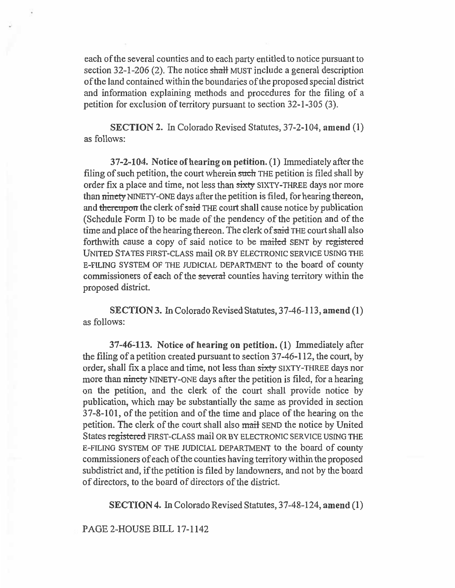each of the several counties and to each party entitled to notice pursuant to section 32-1-206 (2). The notice shall MUST include a general description of the land contained within the boundaries of the proposed special district and information explaining methods and procedures for the filing of a petition for exclusion of territory pursuant to section 32-1-305 (3).

**SECTION** 2. In Colorado Revised Statutes, 37-2-104, **amend** (1) as follows:

**37-2-104. Notice of hearing on petition. (1)** Immediately after the filing of such petition, the court wherein such THE petition is filed shall by order fix a place and time, not less than sixty SIXTY-THREE days nor more than ninety NINETY-ONE days after the petition is filed, for hearing thereon, and thereupon the clerk of said THE court shall cause notice by publication (Schedule Form I) to be made of the pendency of the petition and of the time and place of the hearing thereon. The clerk of said THE court shall also forthwith cause a copy of said notice to be mailed SENT by registered UNITED STATES FIRST-CLASS mail OR BY ELECTRONIC SERVICE USING THE E-FILING SYSTEM OF THE JUDICIAL DEPARTMENT to the board of county commissioners of each of the several counties having territory within the proposed district.

**SECTION 3.** In Colorado Revised Statutes, 37-46-113, **amend (1)**  as follows:

**37-46-113. Notice of hearing on petition. (1)** Immediately after the filing of a petition created pursuant to section 37-46-112, the court, by order, shall fix a place and time, not less than sixty SIXTY-THREE days nor more than ninety NINETY-ONE days after the petition is filed, for a hearing on the petition, and the clerk of the court shall provide notice by publication, which may be substantially the same as provided in section 37-8-101, of the petition and of the time and place of the hearing on the petition. The clerk of the court shall also mail SEND the notice by United States registered FIRST-CLASS mail OR BY ELECTRONIC SERVICE USING THE E-FILING SYSTEM OF THE JUDICIAL DEPARTMENT to the board of county commissioners of each of the counties having territory within the proposed subdistrict and, if the petition is filed by landowners, and not by the board of directors, to the board of directors of the district.

**SECTION 4.** In Colorado Revised Statutes, 37-48-124, **amend (1)** 

PAGE 2-HOUSE BILL 17-1142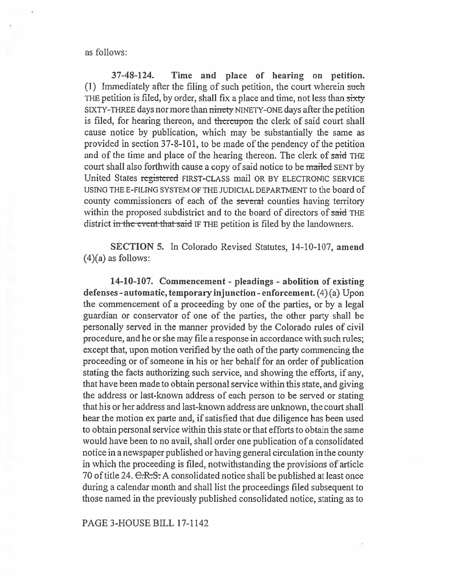as follows:

37-48-124. Time and place of hearing on petition. (1) Immediately after the filing of such petition, the court wherein such THE petition is filed, by order, shall fix a place and time, not less than sixty SIXTY-THREE days nor more than ninety NINETY-ONE days after the petition is filed, for hearing thereon, and thereupon the clerk of said court shall cause notice by publication, which may be substantially the same as provided in section 37-8-101, to be made of the pendency of the petition and of the time and place of the hearing thereon. The clerk of said THE court shall also forthwith cause a copy of said notice to be mailed SENT by United States registered FIRST-CLASS mail OR BY ELECTRONIC SERVICE USING THE E-FILING SYSTEM OF THE JUDICIAL DEPARTMENT to the board of county commissioners of each of the several counties having territory within the proposed subdistrict and to the board of directors of said THE district in the event that said IF THE petition is filed by the landowners.

SECTION 5. In Colorado Revised Statutes, 14-10-107, amend  $(4)(a)$  as follows:

**14-10-107. Commencement - pleadings - abolition of existing defenses - automatic, temporary injunction - enforcement.** (4) (a) Upon **the** commencement of a proceeding by one of the parties, or by a legal guardian or conservator of one of the parties, the other party shall be personally served in the manner provided by the Colorado rules of civil procedure, and he or she may file a response in accordance with such rules; except that, upon motion verified by the oath of the party commencing the proceeding or of someone in his or her behalf for an order of publication stating the facts authorizing such service, and showing the efforts, if any, that have been made to obtain personal service within this state, and giving the address or last-known address of each person to be served or stating that his or her address and last-known address are unknown, the court shall hear the motion ex parte and, if satisfied that due diligence has been used to obtain personal service within this state or that efforts to obtain the same would have been to no avail, shall order one publication of a consolidated notice in a newspaper published or having general circulation in the county in which the proceeding is filed, notwithstanding the provisions of article 70 of title 24. C.R.S. A consolidated notice shall be published at least once during a calendar month and shall list the proceedings filed subsequent to those named in the previously published consolidated notice, stating as to

PAGE 3-HOUSE BILL 17-1142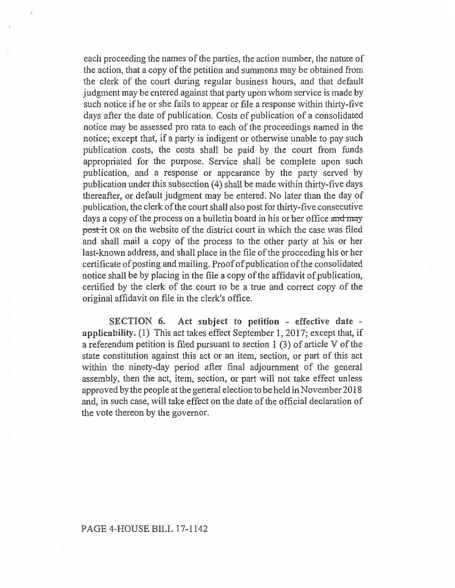each proceeding the names of the parties, the action number, the nature of the action, that a copy of the petition and summons may be obtained from the clerk of the court during regular business hours, and that default judgment may be entered against that party upon whom service is made by such notice if he or she fails to appear or file a response within thirty-five days after the date of publication. Costs of publication of a consolidated notice may be assessed pro rata to each of the proceedings named in the notice; except that, if a party is indigent or otherwise unable to pay such publication costs, the costs shall be paid by the court from funds appropriated for the purpose. Service shall be complete upon such publication, and a response or appearance by the party served by publication under this subsection (4) shall be made within thirty-five days thereafter, or default judgment may be entered. No later than the day of publication, the clerk of the court shall also post for thirty-five consecutive days a copy of the process on a bulletin board in his or her office and may post it OR on the website of the district court in which the case was filed and shall mail a copy of the process to the other party at his or her last-known address, and shall place in the file of the proceeding his or her certificate of posting and mailing. Proof of publication of the consolidated notice shall be by placing in the file a copy of the affidavit of publication, certified by the clerk of the court to be a true and correct copy of the original affidavit on file in the clerk's office.

**SECTION 6. Act subject to petition - effective date applicability. (1) This** act takes effect September 1, 2017; except that, if a referendum petition is filed pursuant to section 1 (3) of article V of the state constitution against this act or an item, section, or part of this act within the ninety-day period after final adjournment of the general assembly, then the act, item, section, or part will not take effect unless approved by the people at the general election to be held in November 2018 and, in such case, will take effect on the date of the official declaration of the vote thereon by the governor.